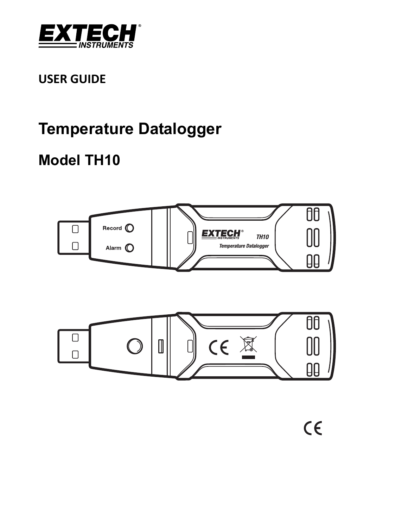

## **USER GUIDE**

# **Temperature Datalogger**

## **Model TH10**



 $C \in$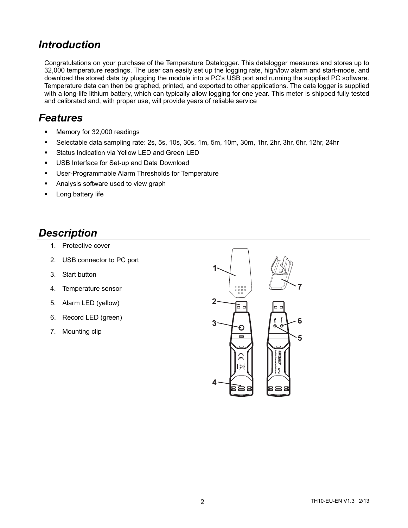#### *Introduction*

Congratulations on your purchase of the Temperature Datalogger. This datalogger measures and stores up to 32,000 temperature readings. The user can easily set up the logging rate, high/low alarm and start-mode, and download the stored data by plugging the module into a PC's USB port and running the supplied PC software. Temperature data can then be graphed, printed, and exported to other applications. The data logger is supplied with a long-life lithium battery, which can typically allow logging for one year. This meter is shipped fully tested and calibrated and, with proper use, will provide years of reliable service

#### *Features*

- **Memory for 32,000 readings**
- Selectable data sampling rate: 2s, 5s, 10s, 30s, 1m, 5m, 10m, 30m, 1hr, 2hr, 3hr, 6hr, 12hr, 24hr
- **Status Indication via Yellow LED and Green LED**
- **USB Interface for Set-up and Data Download**
- **User-Programmable Alarm Thresholds for Temperature**
- Analysis software used to view graph
- Long battery life

#### *Description*

- 1. Protective cover
- 2. USB connector to PC port
- 3. Start button
- 4. Temperature sensor
- 5. Alarm LED (yellow)
- 6. Record LED (green)
- 7. Mounting clip

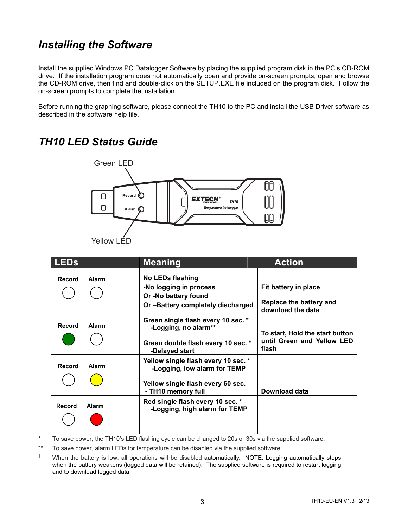#### *Installing the Software*

Install the supplied Windows PC Datalogger Software by placing the supplied program disk in the PC's CD-ROM drive. If the installation program does not automatically open and provide on-screen prompts, open and browse the CD-ROM drive, then find and double-click on the SETUP.EXE file included on the program disk. Follow the on-screen prompts to complete the installation.

Before running the graphing software, please connect the TH10 to the PC and install the USB Driver software as described in the software help file.



#### *TH10 LED Status Guide*

\* To save power, the TH10's LED flashing cycle can be changed to 20s or 30s via the supplied software.

To save power, alarm LEDs for temperature can be disabled via the supplied software.

† When the battery is low, all operations will be disabled automatically. NOTE: Logging automatically stops when the battery weakens (logged data will be retained). The supplied software is required to restart logging and to download logged data.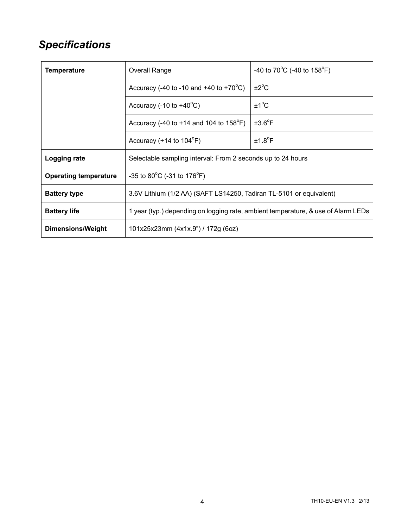### *Specifications*

| <b>Temperature</b>           | <b>Overall Range</b>                                                              | -40 to 70 <sup>o</sup> C (-40 to 158 <sup>o</sup> F) |
|------------------------------|-----------------------------------------------------------------------------------|------------------------------------------------------|
|                              | Accuracy (-40 to -10 and +40 to +70 $^{\circ}$ C)                                 | $\pm 2^{\circ}$ C                                    |
|                              | Accuracy $(-10 \text{ to } +40^{\circ} \text{C})$                                 | $±1^{\circ}C$                                        |
|                              | Accuracy (-40 to +14 and 104 to $158^{\circ}F$ )                                  | $±3.6^{\circ}F$                                      |
|                              | Accuracy $(+14 \text{ to } 104^{\circ}F)$                                         | $±1.8^{\circ}F$                                      |
| Logging rate                 | Selectable sampling interval: From 2 seconds up to 24 hours                       |                                                      |
| <b>Operating temperature</b> | -35 to 80 $^{\circ}$ C (-31 to 176 $^{\circ}$ F)                                  |                                                      |
| <b>Battery type</b>          | 3.6V Lithium (1/2 AA) (SAFT LS14250, Tadiran TL-5101 or equivalent)               |                                                      |
| <b>Battery life</b>          | 1 year (typ.) depending on logging rate, ambient temperature, & use of Alarm LEDs |                                                      |
| Dimensions/Weight            | 101x25x23mm (4x1x.9") / 172g (6oz)                                                |                                                      |